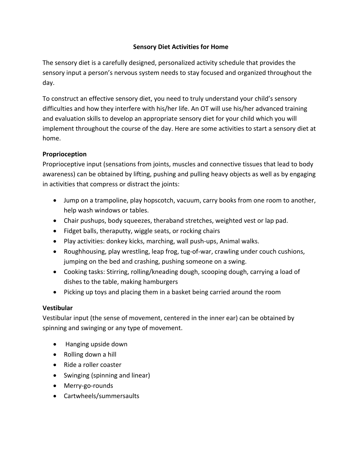# **Sensory Diet Activities for Home**

The sensory diet is a carefully designed, personalized activity schedule that provides the sensory input a person's nervous system needs to stay focused and organized throughout the day.

To construct an effective sensory diet, you need to truly understand your child's sensory difficulties and how they interfere with his/her life. An OT will use his/her advanced training and evaluation skills to develop an appropriate sensory diet for your child which you will implement throughout the course of the day. Here are some activities to start a sensory diet at home.

# **Proprioception**

Proprioceptive input (sensations from joints, muscles and connective tissues that lead to body awareness) can be obtained by lifting, pushing and pulling heavy objects as well as by engaging in activities that compress or distract the joints:

- Jump on a trampoline, play hopscotch, vacuum, carry books from one room to another, help wash windows or tables.
- Chair pushups, body squeezes, theraband stretches, weighted vest or lap pad.
- Fidget balls, theraputty, wiggle seats, or rocking chairs
- Play activities: donkey kicks, marching, wall push-ups, Animal walks.
- Roughhousing, play wrestling, leap frog, tug-of-war, crawling under couch cushions, jumping on the bed and crashing, pushing someone on a swing.
- Cooking tasks: Stirring, rolling/kneading dough, scooping dough, carrying a load of dishes to the table, making hamburgers
- Picking up toys and placing them in a basket being carried around the room

### **Vestibular**

Vestibular input (the sense of movement, centered in the inner ear) can be obtained by spinning and swinging or any type of movement.

- Hanging upside down
- Rolling down a hill
- Ride a roller coaster
- Swinging (spinning and linear)
- Merry-go-rounds
- Cartwheels/summersaults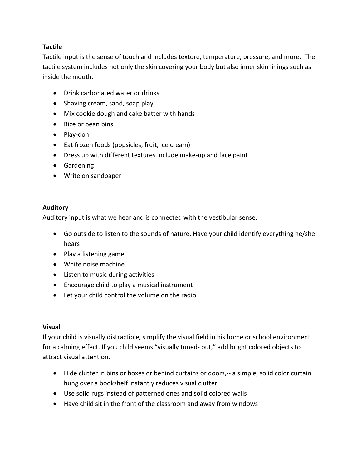# **Tactile**

Tactile input is the sense of touch and includes texture, temperature, pressure, and more. The tactile system includes not only the skin covering your body but also inner skin linings such as inside the mouth.

- Drink carbonated water or drinks
- Shaving cream, sand, soap play
- Mix cookie dough and cake batter with hands
- Rice or bean bins
- Play-doh
- Eat frozen foods (popsicles, fruit, ice cream)
- Dress up with different textures include make-up and face paint
- **•** Gardening
- Write on sandpaper

### **Auditory**

Auditory input is what we hear and is connected with the vestibular sense.

- Go outside to listen to the sounds of nature. Have your child identify everything he/she hears
- Play a listening game
- White noise machine
- Listen to music during activities
- Encourage child to play a musical instrument
- Let your child control the volume on the radio

#### **Visual**

If your child is visually distractible, simplify the visual field in his home or school environment for a calming effect. If you child seems "visually tuned- out," add bright colored objects to attract visual attention.

- Hide clutter in bins or boxes or behind curtains or doors,-- a simple, solid color curtain hung over a bookshelf instantly reduces visual clutter
- Use solid rugs instead of patterned ones and solid colored walls
- Have child sit in the front of the classroom and away from windows